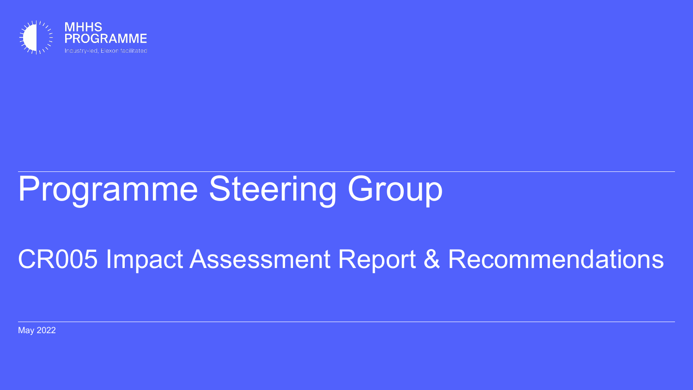

# Programme Steering Group

# CR005 Impact Assessment Report & Recommendations

May 2022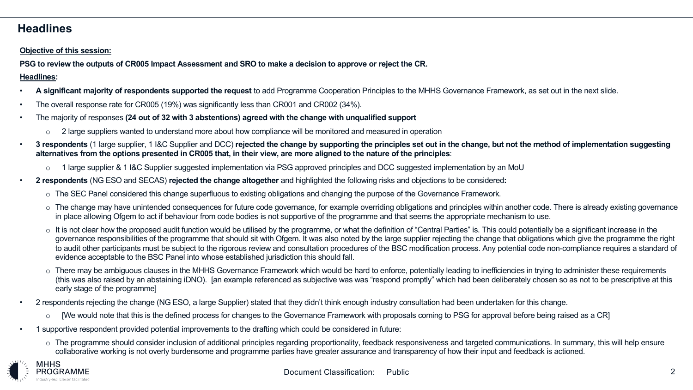# **Headlines**

# **Objective of this session:**

**PSG to review the outputs of CR005 Impact Assessment and SRO to make a decision to approve or reject the CR.**

# **Headlines:**

- **A significant majority of respondents supported the request** to add Programme Cooperation Principles to the MHHS Governance Framework, as set out in the next slide.
- The overall response rate for CR005 (19%) was significantly less than CR001 and CR002 (34%).
- The majority of responses **(24 out of 32 with 3 abstentions) agreed with the change with unqualified support**
	- 2 large suppliers wanted to understand more about how compliance will be monitored and measured in operation
- **3 respondents** (1 large supplier, 1 I&C Supplier and DCC) **rejected the change by supporting the principles set out in the change, but not the method of implementation suggesting alternatives from the options presented in CR005 that, in their view, are more aligned to the nature of the principles**:
	- $\circ$  1 large supplier & 1 I&C Supplier suggested implementation via PSG approved principles and DCC suggested implementation by an MoU
- **2 respondents** (NG ESO and SECAS) **rejected the change altogether** and highlighted the following risks and objections to be considered**:**
	- o The SEC Panel considered this change superfluous to existing obligations and changing the purpose of the Governance Framework.
	- o The change may have unintended consequences for future code governance, for example overriding obligations and principles within another code. There is already existing governance in place allowing Ofgem to act if behaviour from code bodies is not supportive of the programme and that seems the appropriate mechanism to use.
	- $\circ$  It is not clear how the proposed audit function would be utilised by the programme, or what the definition of "Central Parties" is. This could potentially be a significant increase in the governance responsibilities of the programme that should sit with Ofgem. It was also noted by the large supplier rejecting the change that obligations which give the programme the right to audit other participants must be subject to the rigorous review and consultation procedures of the BSC modification process. Any potential code non-compliance requires a standard of evidence acceptable to the BSC Panel into whose established jurisdiction this should fall.
	- o There may be ambiguous clauses in the MHHS Governance Framework which would be hard to enforce, potentially leading to inefficiencies in trying to administer these requirements (this was also raised by an abstaining iDNO). [an example referenced as subjective was was "respond promptly" which had been deliberately chosen so as not to be prescriptive at this early stage of the programme]
- 2 respondents rejecting the change (NG ESO, a large Supplier) stated that they didn't think enough industry consultation had been undertaken for this change.
	- o [We would note that this is the defined process for changes to the Governance Framework with proposals coming to PSG for approval before being raised as a CR]
- 1 supportive respondent provided potential improvements to the drafting which could be considered in future:
	- $\circ$  The programme should consider inclusion of additional principles regarding proportionality, feedback responsiveness and targeted communications. In summary, this will help ensure collaborative working is not overly burdensome and programme parties have greater assurance and transparency of how their input and feedback is actioned.

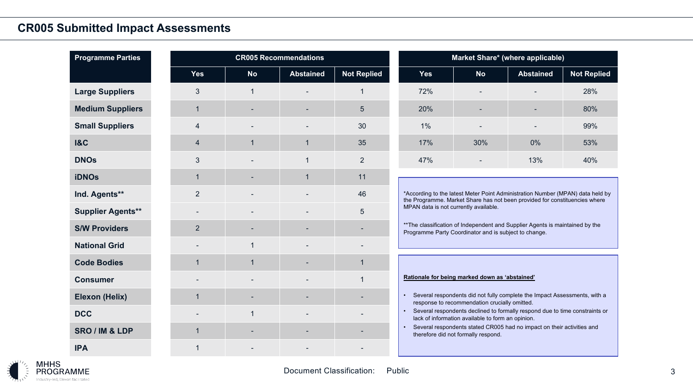# **CR005 Submitted Impact Assessments**

| <b>Programme Parties</b> | <b>CR005 Recommendations</b> |                |                  |                    | Market Share* (where applicable)                                                                                                                                                                                                                                                                                                                                                                                                                              |           |                  |                    |
|--------------------------|------------------------------|----------------|------------------|--------------------|---------------------------------------------------------------------------------------------------------------------------------------------------------------------------------------------------------------------------------------------------------------------------------------------------------------------------------------------------------------------------------------------------------------------------------------------------------------|-----------|------------------|--------------------|
|                          | <b>Yes</b>                   | <b>No</b>      | <b>Abstained</b> | <b>Not Replied</b> | <b>Yes</b>                                                                                                                                                                                                                                                                                                                                                                                                                                                    | <b>No</b> | <b>Abstained</b> | <b>Not Replied</b> |
| <b>Large Suppliers</b>   | 3                            | 1              |                  | 1                  | 72%                                                                                                                                                                                                                                                                                                                                                                                                                                                           |           |                  | 28%                |
| <b>Medium Suppliers</b>  | 1                            |                |                  | 5                  | 20%                                                                                                                                                                                                                                                                                                                                                                                                                                                           |           |                  | 80%                |
| <b>Small Suppliers</b>   | 4                            |                |                  | 30                 | 1%                                                                                                                                                                                                                                                                                                                                                                                                                                                            |           |                  | 99%                |
| <b>1&amp;C</b>           | 4                            | $\mathbf 1$    | 1                | 35                 | 17%                                                                                                                                                                                                                                                                                                                                                                                                                                                           | 30%       | 0%               | 53%                |
| <b>DNOs</b>              | 3                            |                | 1                | $\overline{2}$     | 47%                                                                                                                                                                                                                                                                                                                                                                                                                                                           |           | 13%              | 40%                |
| <b>iDNOs</b>             | 1                            |                | 1                | 11                 |                                                                                                                                                                                                                                                                                                                                                                                                                                                               |           |                  |                    |
| Ind. Agents**            | $\overline{2}$               |                |                  | 46                 | *According to the latest Meter Point Administration Number (MPAN) data held by<br>the Programme. Market Share has not been provided for constituencies where                                                                                                                                                                                                                                                                                                  |           |                  |                    |
| <b>Supplier Agents**</b> |                              |                |                  | 5                  | MPAN data is not currently available.                                                                                                                                                                                                                                                                                                                                                                                                                         |           |                  |                    |
| <b>S/W Providers</b>     | $\overline{2}$               |                |                  |                    | ** The classification of Independent and Supplier Agents is maintained by the<br>Programme Party Coordinator and is subject to change.                                                                                                                                                                                                                                                                                                                        |           |                  |                    |
| <b>National Grid</b>     |                              | $\overline{1}$ |                  |                    |                                                                                                                                                                                                                                                                                                                                                                                                                                                               |           |                  |                    |
| <b>Code Bodies</b>       | 1                            | 1              |                  | 1                  |                                                                                                                                                                                                                                                                                                                                                                                                                                                               |           |                  |                    |
| <b>Consumer</b>          |                              |                |                  | 1                  | Rationale for being marked down as 'abstained'<br>Several respondents did not fully complete the Impact Assessments, with a<br>$\bullet$<br>response to recommendation crucially omitted.<br>• Several respondents declined to formally respond due to time constraints or<br>lack of information available to form an opinion.<br>Several respondents stated CR005 had no impact on their activities and<br>$\bullet$<br>therefore did not formally respond. |           |                  |                    |
| Elexon (Helix)           | 1                            |                |                  |                    |                                                                                                                                                                                                                                                                                                                                                                                                                                                               |           |                  |                    |
| <b>DCC</b>               |                              | $\overline{1}$ |                  |                    |                                                                                                                                                                                                                                                                                                                                                                                                                                                               |           |                  |                    |
| <b>SRO/IM &amp; LDP</b>  | 1                            |                |                  |                    |                                                                                                                                                                                                                                                                                                                                                                                                                                                               |           |                  |                    |
| <b>IPA</b>               | 1                            |                |                  |                    |                                                                                                                                                                                                                                                                                                                                                                                                                                                               |           |                  |                    |